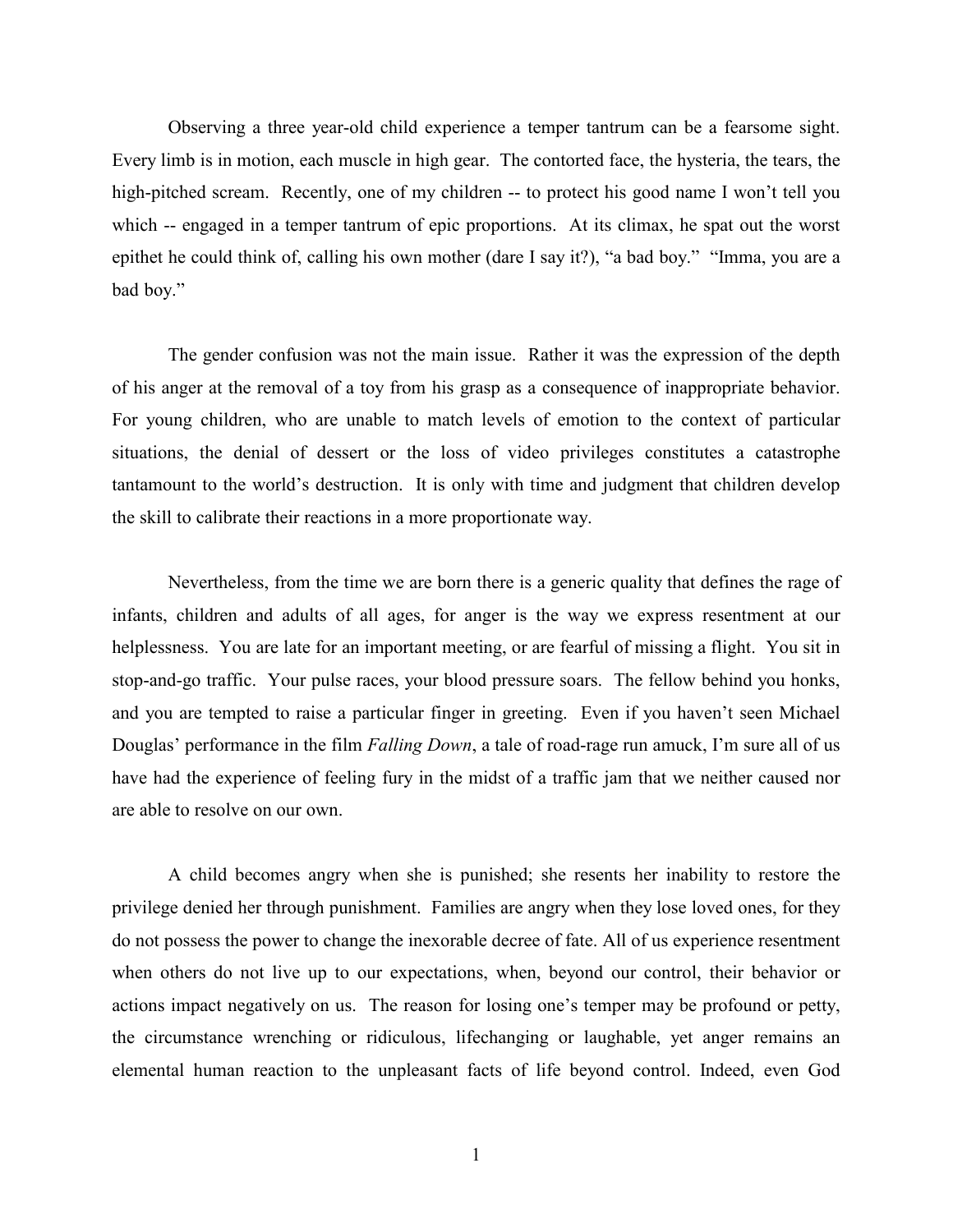Observing a three year-old child experience a temper tantrum can be a fearsome sight. Every limb is in motion, each muscle in high gear. The contorted face, the hysteria, the tears, the high-pitched scream. Recently, one of my children -- to protect his good name I won't tell you which -- engaged in a temper tantrum of epic proportions. At its climax, he spat out the worst epithet he could think of, calling his own mother (dare I say it?), "a bad boy." "Imma, you are a bad boy."

The gender confusion was not the main issue. Rather it was the expression of the depth of his anger at the removal of a toy from his grasp as a consequence of inappropriate behavior. For young children, who are unable to match levels of emotion to the context of particular situations, the denial of dessert or the loss of video privileges constitutes a catastrophe tantamount to the world's destruction. It is only with time and judgment that children develop the skill to calibrate their reactions in a more proportionate way.

Nevertheless, from the time we are born there is a generic quality that defines the rage of infants, children and adults of all ages, for anger is the way we express resentment at our helplessness. You are late for an important meeting, or are fearful of missing a flight. You sit in stop-and-go traffic. Your pulse races, your blood pressure soars. The fellow behind you honks, and you are tempted to raise a particular finger in greeting. Even if you haven't seen Michael Douglas' performance in the film *Falling Down*, a tale of road-rage run amuck, I'm sure all of us have had the experience of feeling fury in the midst of a traffic jam that we neither caused nor are able to resolve on our own.

A child becomes angry when she is punished; she resents her inability to restore the privilege denied her through punishment. Families are angry when they lose loved ones, for they do not possess the power to change the inexorable decree of fate. All of us experience resentment when others do not live up to our expectations, when, beyond our control, their behavior or actions impact negatively on us. The reason for losing one's temper may be profound or petty, the circumstance wrenching or ridiculous, lifechanging or laughable, yet anger remains an elemental human reaction to the unpleasant facts of life beyond control. Indeed, even God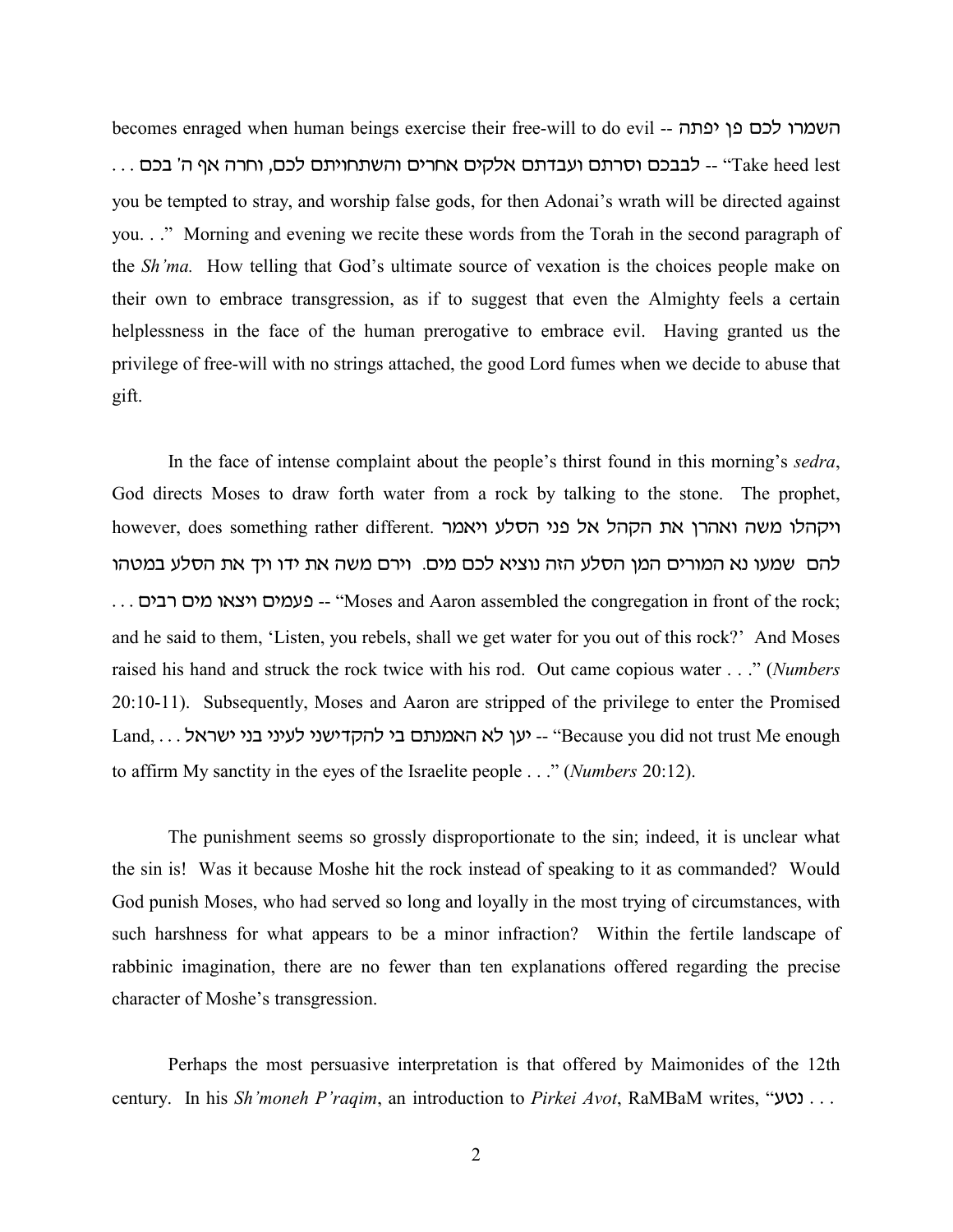becomes enraged when human beings exercise their free-will to do evil -- השמרו לכם פן יפתה  $\,\ldots\,$  ו- לבבכם וסרתם ועבדתם אלקים אחרים והשתחויתם לכם, וחרה אף ה' בכם $\,\ldots\,$ you be tempted to stray, and worship false gods, for then Adonai's wrath will be directed against you. . ." Morning and evening we recite these words from the Torah in the second paragraph of the *Sh'ma.* How telling that God's ultimate source of vexation is the choices people make on their own to embrace transgression, as if to suggest that even the Almighty feels a certain helplessness in the face of the human prerogative to embrace evil. Having granted us the privilege of free-will with no strings attached, the good Lord fumes when we decide to abuse that gift.

In the face of intense complaint about the people's thirst found in this morning's *sedra*, God directs Moses to draw forth water from a rock by talking to the stone. The prophet, however, does something rather different. ויקהלו משה ואהרן את הקהל פני הסלע ויאמר להם שמעו נא המורים המן הסלע הזה נוציא לכם מים. וירם משה את ידו ויך את הסלע במטהו . . . פעמים ויצאו מים רבים -- "Moses and Aaron assembled the congregation in front of the rock; and he said to them, 'Listen, you rebels, shall we get water for you out of this rock?' And Moses raised his hand and struck the rock twice with his rod. Out came copious water . . ." (*Numbers* 20:10-11). Subsequently, Moses and Aaron are stripped of the privilege to enter the Promised  $Land, ...$  (ען לא האמנתם בי להקדישני לעיני בני ישראל -- "Because you did not trust Me enough to affirm My sanctity in the eyes of the Israelite people . . ." (*Numbers* 20:12).

The punishment seems so grossly disproportionate to the sin; indeed, it is unclear what the sin is! Was it because Moshe hit the rock instead of speaking to it as commanded? Would God punish Moses, who had served so long and loyally in the most trying of circumstances, with such harshness for what appears to be a minor infraction? Within the fertile landscape of rabbinic imagination, there are no fewer than ten explanations offered regarding the precise character of Moshe's transgression.

Perhaps the most persuasive interpretation is that offered by Maimonides of the 12th century. In his *Sh'moneh P'raqim*, an introduction to *Pirkei Avot*, RaMBaM writes, "נטע $\ldots$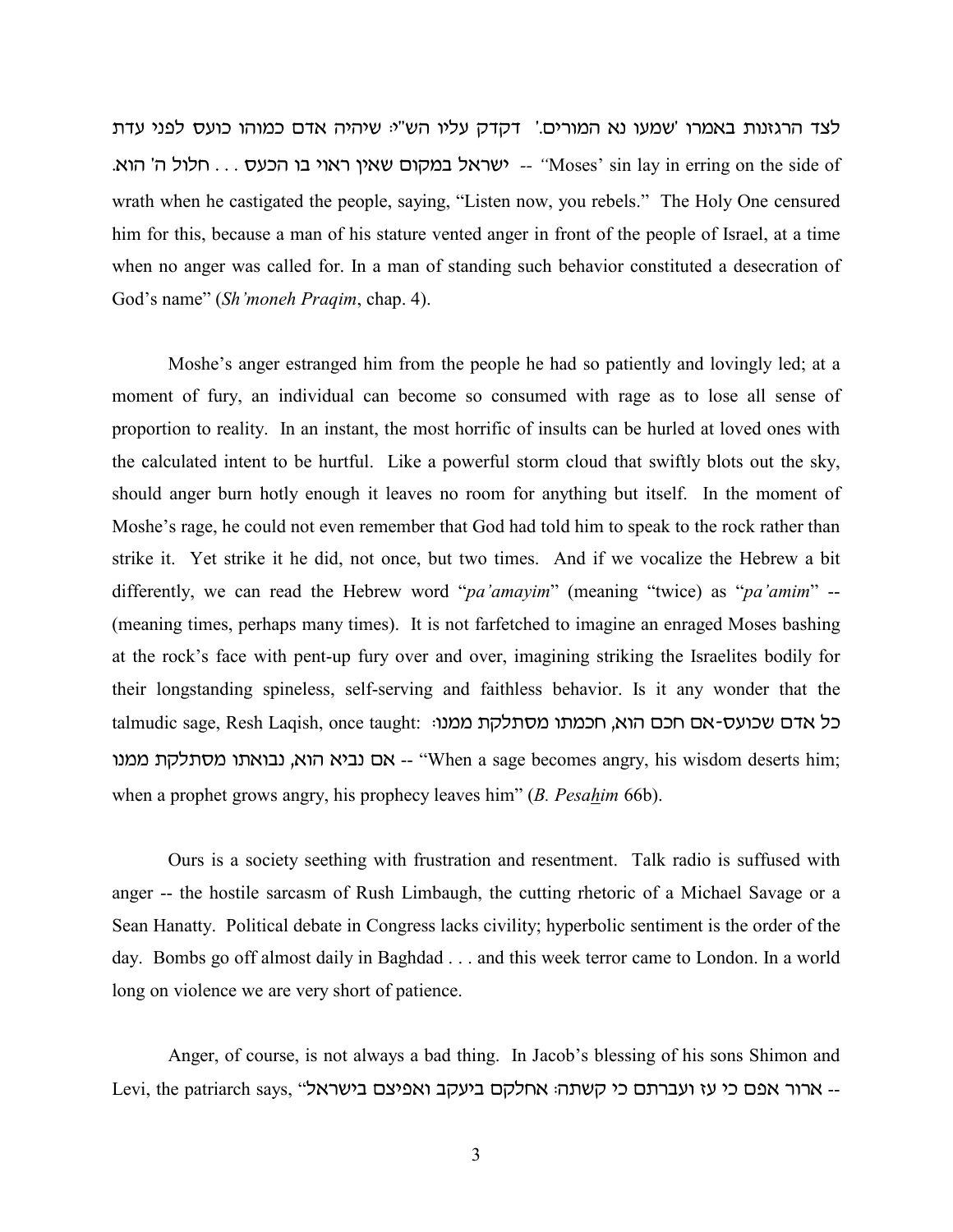לצד הרגזנות באמרו 'שמעו נא המורים.' דקדק עליו הש"י: שיהיה אדם כמוהו כועס לפני עדת - ישראל במקום שאין ראוי בו הכעס ... חלול ה' הוא.<br>**hta out -- "Woses' sin lay in erring on the side of**" wrath when he castigated the people, saying, "Listen now, you rebels." The Holy One censured him for this, because a man of his stature vented anger in front of the people of Israel, at a time when no anger was called for. In a man of standing such behavior constituted a desecration of God's name" (*Sh'moneh Praqim*, chap. 4).

Moshe's anger estranged him from the people he had so patiently and lovingly led; at a moment of fury, an individual can become so consumed with rage as to lose all sense of proportion to reality. In an instant, the most horrific of insults can be hurled at loved ones with the calculated intent to be hurtful. Like a powerful storm cloud that swiftly blots out the sky, should anger burn hotly enough it leaves no room for anything but itself. In the moment of Moshe's rage, he could not even remember that God had told him to speak to the rock rather than strike it. Yet strike it he did, not once, but two times. And if we vocalize the Hebrew a bit differently, we can read the Hebrew word "*pa'amayim*" (meaning "twice) as "*pa'amim*" -- (meaning times, perhaps many times). It is not farfetched to imagine an enraged Moses bashing at the rock's face with pent-up fury over and over, imagining striking the Israelites bodily for their longstanding spineless, self-serving and faithless behavior. Is it any wonder that the talmudic sage, Resh Lagish, once taught: נל אדם שכועס-אם חכם הוא, חכמתו מסתלקת ממנו: בעא הוא, נבואתו מסתלקת ממנו 'When a sage becomes angry, his wisdom deserts him; when a prophet grows angry, his prophecy leaves him" (*B. Pesahim* 66b).

Ours is a society seething with frustration and resentment. Talk radio is suffused with anger -- the hostile sarcasm of Rush Limbaugh, the cutting rhetoric of a Michael Savage or a Sean Hanatty. Political debate in Congress lacks civility; hyperbolic sentiment is the order of the day. Bombs go off almost daily in Baghdad . . . and this week terror came to London. In a world long on violence we are very short of patience.

Anger, of course, is not always a bad thing. In Jacob's blessing of his sons Shimon and Levi, the patriarch says, "בארור אפם כי עז ועברתם כי קשתה: אחלקם ביעקב ואפיצם בישראל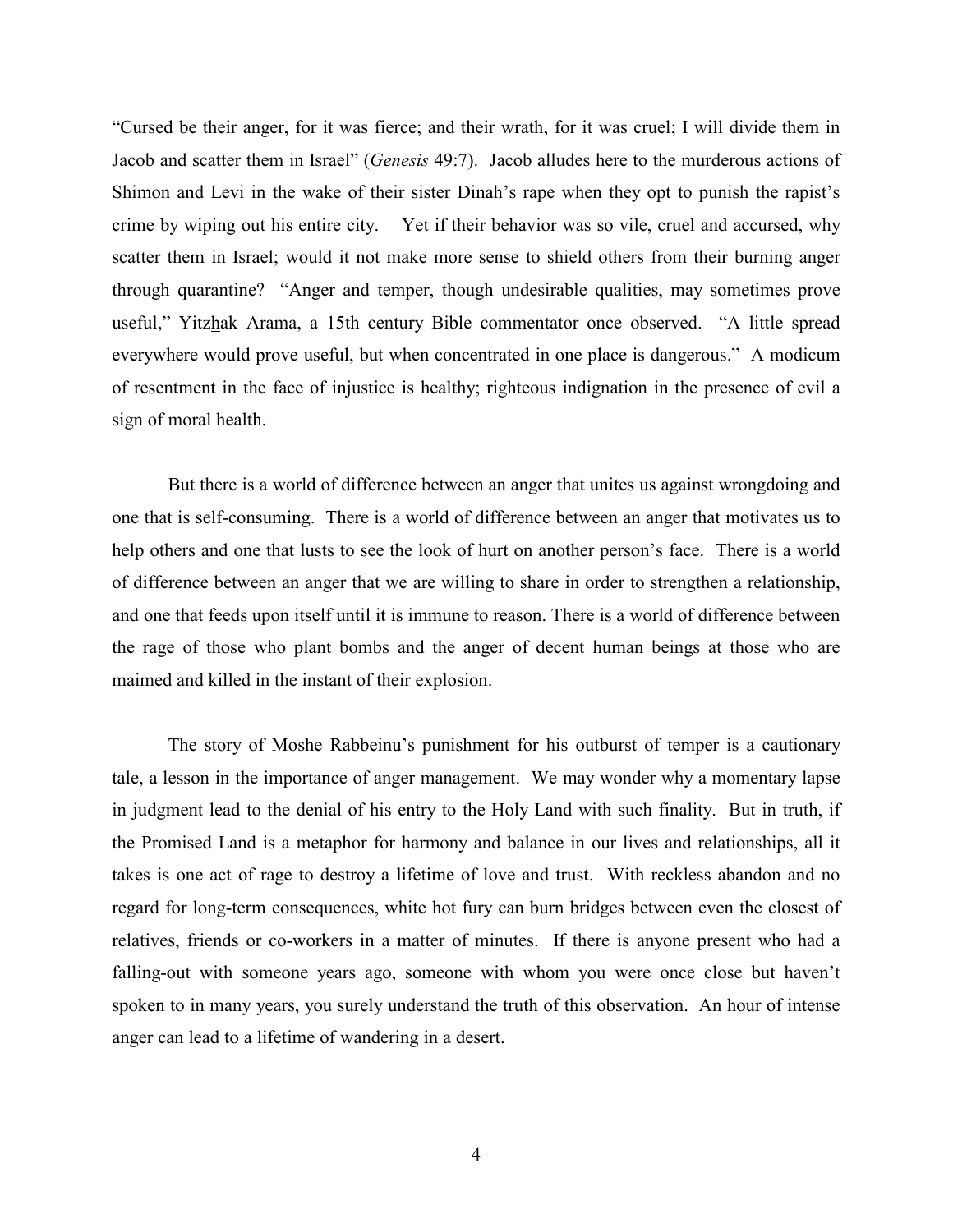"Cursed be their anger, for it was fierce; and their wrath, for it was cruel; I will divide them in Jacob and scatter them in Israel" (*Genesis* 49:7). Jacob alludes here to the murderous actions of Shimon and Levi in the wake of their sister Dinah's rape when they opt to punish the rapist's crime by wiping out his entire city. Yet if their behavior was so vile, cruel and accursed, why scatter them in Israel; would it not make more sense to shield others from their burning anger through quarantine? "Anger and temper, though undesirable qualities, may sometimes prove useful," Yitzhak Arama, a 15th century Bible commentator once observed. "A little spread everywhere would prove useful, but when concentrated in one place is dangerous." A modicum of resentment in the face of injustice is healthy; righteous indignation in the presence of evil a sign of moral health.

But there is a world of difference between an anger that unites us against wrongdoing and one that is self-consuming. There is a world of difference between an anger that motivates us to help others and one that lusts to see the look of hurt on another person's face. There is a world of difference between an anger that we are willing to share in order to strengthen a relationship, and one that feeds upon itself until it is immune to reason. There is a world of difference between the rage of those who plant bombs and the anger of decent human beings at those who are maimed and killed in the instant of their explosion.

The story of Moshe Rabbeinu's punishment for his outburst of temper is a cautionary tale, a lesson in the importance of anger management. We may wonder why a momentary lapse in judgment lead to the denial of his entry to the Holy Land with such finality. But in truth, if the Promised Land is a metaphor for harmony and balance in our lives and relationships, all it takes is one act of rage to destroy a lifetime of love and trust. With reckless abandon and no regard for long-term consequences, white hot fury can burn bridges between even the closest of relatives, friends or co-workers in a matter of minutes. If there is anyone present who had a falling-out with someone years ago, someone with whom you were once close but haven't spoken to in many years, you surely understand the truth of this observation. An hour of intense anger can lead to a lifetime of wandering in a desert.